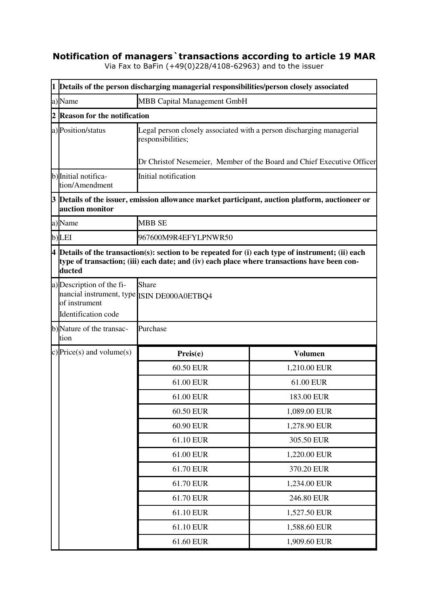## **Notification of managers`transactions according to article 19 MAR**

Via Fax to BaFin (+49(0)228/4108-62963) and to the issuer

|   | 1 Details of the person discharging managerial responsibilities/person closely associated                       |                                                                                             |                                                                                                      |
|---|-----------------------------------------------------------------------------------------------------------------|---------------------------------------------------------------------------------------------|------------------------------------------------------------------------------------------------------|
|   | a)Name                                                                                                          | MBB Capital Management GmbH                                                                 |                                                                                                      |
| 2 | <b>Reason for the notification</b>                                                                              |                                                                                             |                                                                                                      |
|   | a) Position/status                                                                                              | Legal person closely associated with a person discharging managerial<br>responsibilities;   |                                                                                                      |
|   |                                                                                                                 |                                                                                             | Dr Christof Nesemeier, Member of the Board and Chief Executive Officer                               |
|   | b) Initial notifica-<br>tion/Amendment                                                                          | Initial notification                                                                        |                                                                                                      |
|   | auction monitor                                                                                                 |                                                                                             | 3 Details of the issuer, emission allowance market participant, auction platform, auctioneer or      |
|   | a)Name                                                                                                          | <b>MBB SE</b>                                                                               |                                                                                                      |
|   | b)LEI                                                                                                           | 967600M9R4EFYLPNWR50                                                                        |                                                                                                      |
|   | ducted                                                                                                          | type of transaction; (iii) each date; and (iv) each place where transactions have been con- | $4$ Details of the transaction(s): section to be repeated for (i) each type of instrument; (ii) each |
|   | a) Description of the fi-<br>nancial instrument, type ISIN DE000A0ETBQ4<br>of instrument<br>Identification code | Share                                                                                       |                                                                                                      |
|   | b)Nature of the transac-<br>tion                                                                                | Purchase                                                                                    |                                                                                                      |
|   | c) Price(s) and volume(s)                                                                                       | Preis(e)                                                                                    | <b>Volumen</b>                                                                                       |
|   |                                                                                                                 | 60.50 EUR                                                                                   | 1,210.00 EUR                                                                                         |
|   |                                                                                                                 | 61.00 EUR                                                                                   | 61.00 EUR                                                                                            |
|   |                                                                                                                 | 61.00 EUR                                                                                   | 183.00 EUR                                                                                           |
|   |                                                                                                                 | 60.50 EUR                                                                                   | 1,089.00 EUR                                                                                         |
|   |                                                                                                                 | 60.90 EUR                                                                                   | 1,278.90 EUR                                                                                         |
|   |                                                                                                                 | 61.10 EUR                                                                                   | 305.50 EUR                                                                                           |
|   |                                                                                                                 | 61.00 EUR                                                                                   | 1,220.00 EUR                                                                                         |
|   |                                                                                                                 | 61.70 EUR                                                                                   | 370.20 EUR                                                                                           |
|   |                                                                                                                 | 61.70 EUR                                                                                   | 1,234.00 EUR                                                                                         |
|   |                                                                                                                 | 61.70 EUR                                                                                   | 246.80 EUR                                                                                           |
|   |                                                                                                                 | 61.10 EUR                                                                                   | 1,527.50 EUR                                                                                         |
|   |                                                                                                                 | 61.10 EUR                                                                                   | 1,588.60 EUR                                                                                         |
|   |                                                                                                                 | 61.60 EUR                                                                                   | 1,909.60 EUR                                                                                         |